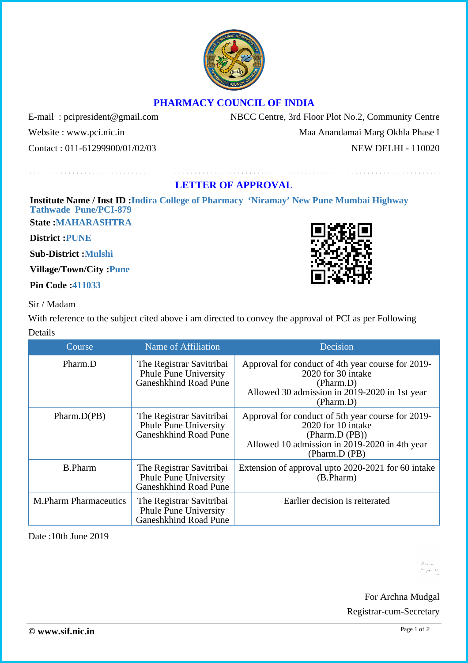## **PHARMACY COUNCIL OF INDIA**

Website : www.pci.nic.in Maa Anandamai Marg Okhla Phase I

E-mail : pcipresident@gmail.com NBCC Centre, 3rd Floor Plot No.2, Community Centre

Contact : 011-61299900/01/02/03 NEW DELHI - 110020

## **LETTER OF APPROVAL**

## **Institute Name / Inst ID :Indira College of Pharmacy 'Niramay' New Pune Mumbai Highway Tathwade Pune/PCI-879**

**State :MAHARASHTRA**

**District :PUNE**

**Sub-District :Mulshi**

**Village/Town/City :Pune**

**Pin Code :411033**

## Sir / Madam

With reference to the subject cited above i am directed to convey the approval of PCI as per Following Details

| Course                       | Name of Affiliation                                                               | Decision                                                                                                                                                    |
|------------------------------|-----------------------------------------------------------------------------------|-------------------------------------------------------------------------------------------------------------------------------------------------------------|
| Pharm.D                      | The Registrar Savitribai<br>Phule Pune University<br>Ganeshkhind Road Pune        | Approval for conduct of 4th year course for 2019-<br>2020 for 30 intake<br>(Pharm.D)<br>Allowed 30 admission in 2019-2020 in 1st year<br>(Pharm.D)          |
| Pharm.D(PB)                  | The Registrar Savitribai<br><b>Phule Pune University</b><br>Ganeshkhind Road Pune | Approval for conduct of 5th year course for 2019-<br>2020 for 10 intake<br>(Pharm.D (PB))<br>Allowed 10 admission in 2019-2020 in 4th year<br>(Pharm.D (PB) |
| <b>B.Pharm</b>               | The Registrar Savitribai<br><b>Phule Pune University</b><br>Ganeshkhind Road Pune | Extension of approval upto 2020-2021 for 60 intake<br>(B.Pharm)                                                                                             |
| <b>M.Pharm Pharmaceutics</b> | The Registrar Savitribai<br><b>Phule Pune University</b><br>Ganeshkhind Road Pune | Earlier decision is reiterated                                                                                                                              |

Date :10th June 2019



 $\Delta$ <sub>N<sub>1</sub></sub>  $M_{\rm H}$ 

For Archna Mudgal Registrar-cum-Secretary